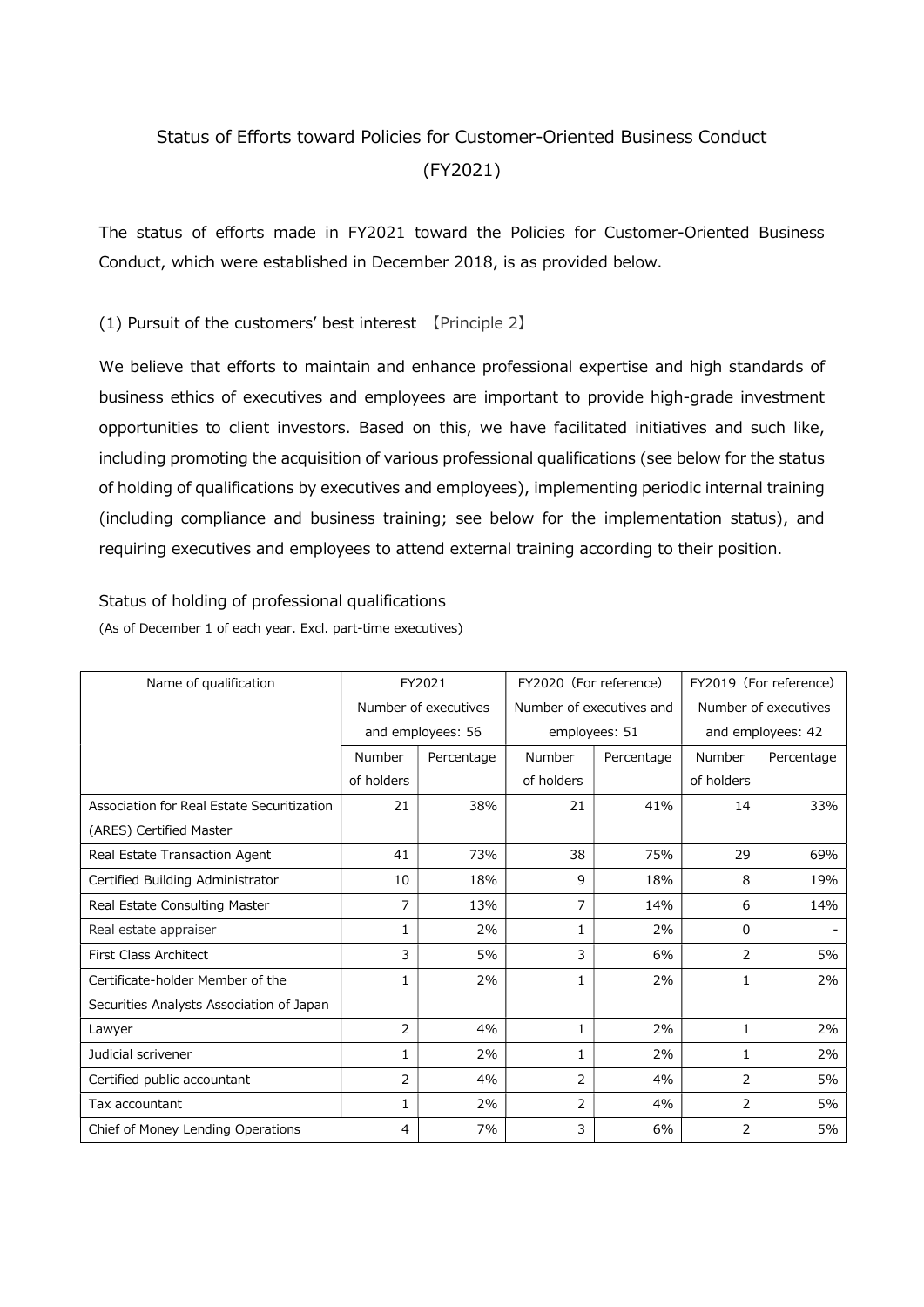# Status of Efforts toward Policies for Customer-Oriented Business Conduct (FY2021)

The status of efforts made in FY2021 toward the Policies for Customer-Oriented Business Conduct, which were established in December 2018, is as provided below.

### (1) Pursuit of the customers' best interest 【Principle 2】

We believe that efforts to maintain and enhance professional expertise and high standards of business ethics of executives and employees are important to provide high-grade investment opportunities to client investors. Based on this, we have facilitated initiatives and such like, including promoting the acquisition of various professional qualifications (see below for the status of holding of qualifications by executives and employees), implementing periodic internal training (including compliance and business training; see below for the implementation status), and requiring executives and employees to attend external training according to their position.

#### Status of holding of professional qualifications

(As of December 1 of each year. Excl. part-time executives)

| Name of qualification                      | FY2021               |            | FY2020 (For reference)   |            | FY2019 (For reference) |            |
|--------------------------------------------|----------------------|------------|--------------------------|------------|------------------------|------------|
|                                            | Number of executives |            | Number of executives and |            | Number of executives   |            |
|                                            | and employees: 56    |            | employees: 51            |            | and employees: 42      |            |
|                                            | Number               | Percentage | Number                   | Percentage | Number                 | Percentage |
|                                            | of holders           |            | of holders               |            | of holders             |            |
| Association for Real Estate Securitization | 21                   | 38%        | 21                       | 41%        | 14                     | 33%        |
| (ARES) Certified Master                    |                      |            |                          |            |                        |            |
| Real Estate Transaction Agent              | 41                   | 73%        | 38                       | 75%        | 29                     | 69%        |
| Certified Building Administrator           | 10                   | 18%        | 9                        | 18%        | 8                      | 19%        |
| Real Estate Consulting Master              | 7                    | 13%        | 7                        | 14%        | 6                      | 14%        |
| Real estate appraiser                      | 1                    | 2%         | 1.                       | 2%         | $\Omega$               |            |
| <b>First Class Architect</b>               | 3                    | 5%         | 3                        | 6%         | 2                      | 5%         |
| Certificate-holder Member of the           | 1                    | 2%         | $\mathbf{1}$             | 2%         | 1                      | 2%         |
| Securities Analysts Association of Japan   |                      |            |                          |            |                        |            |
| Lawyer                                     | $\overline{2}$       | 4%         | $\mathbf{1}$             | 2%         | 1                      | 2%         |
| Judicial scrivener                         | 1                    | 2%         | $\mathbf{1}$             | 2%         | 1                      | 2%         |
| Certified public accountant                | $\overline{2}$       | 4%         | $\overline{2}$           | 4%         | 2                      | 5%         |
| Tax accountant                             | 1                    | 2%         | 2                        | 4%         | 2                      | 5%         |
| Chief of Money Lending Operations          | 4                    | 7%         | 3                        | 6%         | 2                      | 5%         |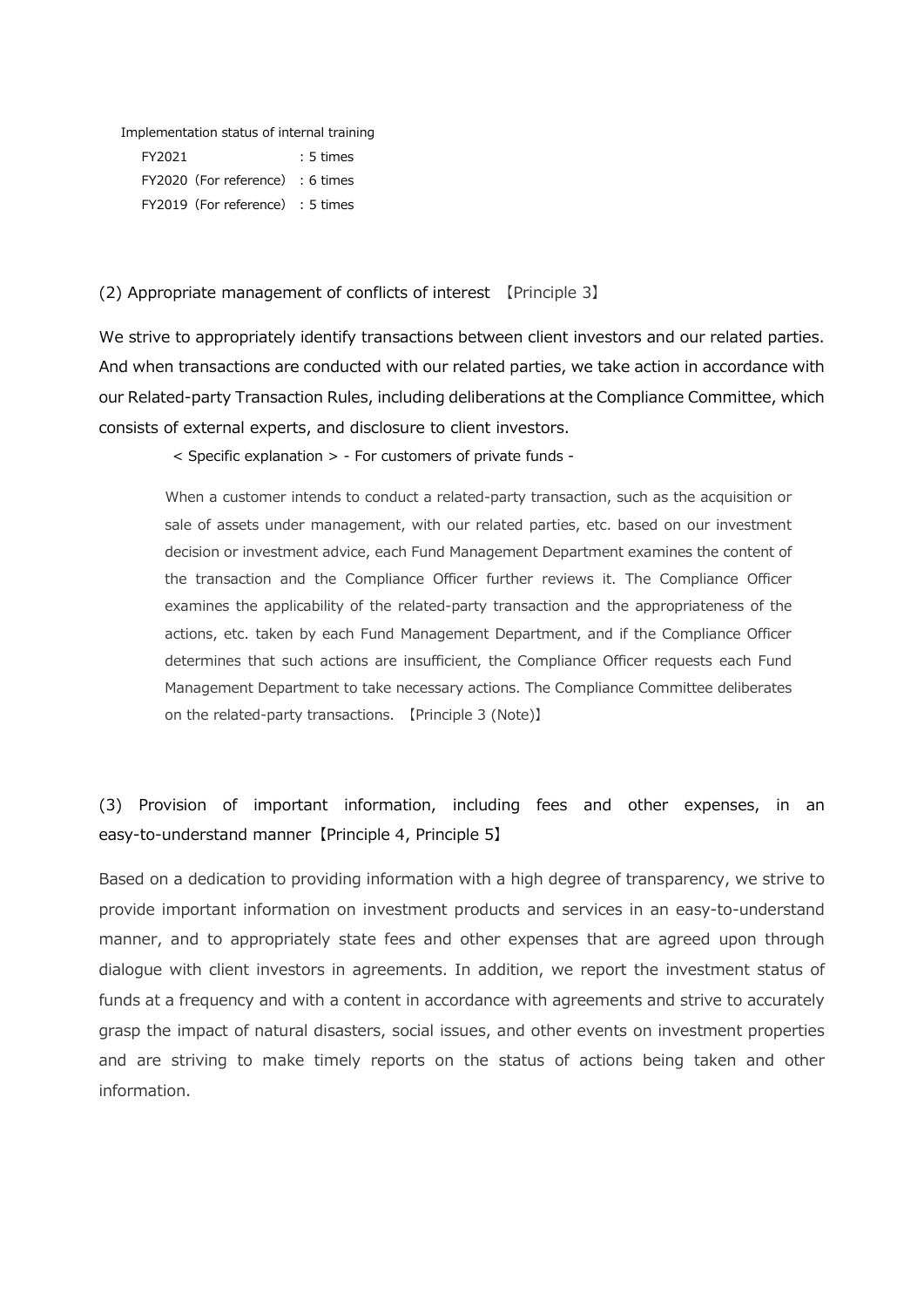Implementation status of internal training

FY2021 : 5 times FY2020(For reference) : 6 times FY2019 (For reference) : 5 times

#### (2) Appropriate management of conflicts of interest 【Principle 3】

We strive to appropriately identify transactions between client investors and our related parties. And when transactions are conducted with our related parties, we take action in accordance with our Related-party Transaction Rules, including deliberations at the Compliance Committee, which consists of external experts, and disclosure to client investors.

< Specific explanation > - For customers of private funds -

When a customer intends to conduct a related-party transaction, such as the acquisition or sale of assets under management, with our related parties, etc. based on our investment decision or investment advice, each Fund Management Department examines the content of the transaction and the Compliance Officer further reviews it. The Compliance Officer examines the applicability of the related-party transaction and the appropriateness of the actions, etc. taken by each Fund Management Department, and if the Compliance Officer determines that such actions are insufficient, the Compliance Officer requests each Fund Management Department to take necessary actions. The Compliance Committee deliberates on the related-party transactions. 【Principle 3 (Note)】

## (3) Provision of important information, including fees and other expenses, in an easy-to-understand manner【Principle 4, Principle 5】

Based on a dedication to providing information with a high degree of transparency, we strive to provide important information on investment products and services in an easy-to-understand manner, and to appropriately state fees and other expenses that are agreed upon through dialogue with client investors in agreements. In addition, we report the investment status of funds at a frequency and with a content in accordance with agreements and strive to accurately grasp the impact of natural disasters, social issues, and other events on investment properties and are striving to make timely reports on the status of actions being taken and other information.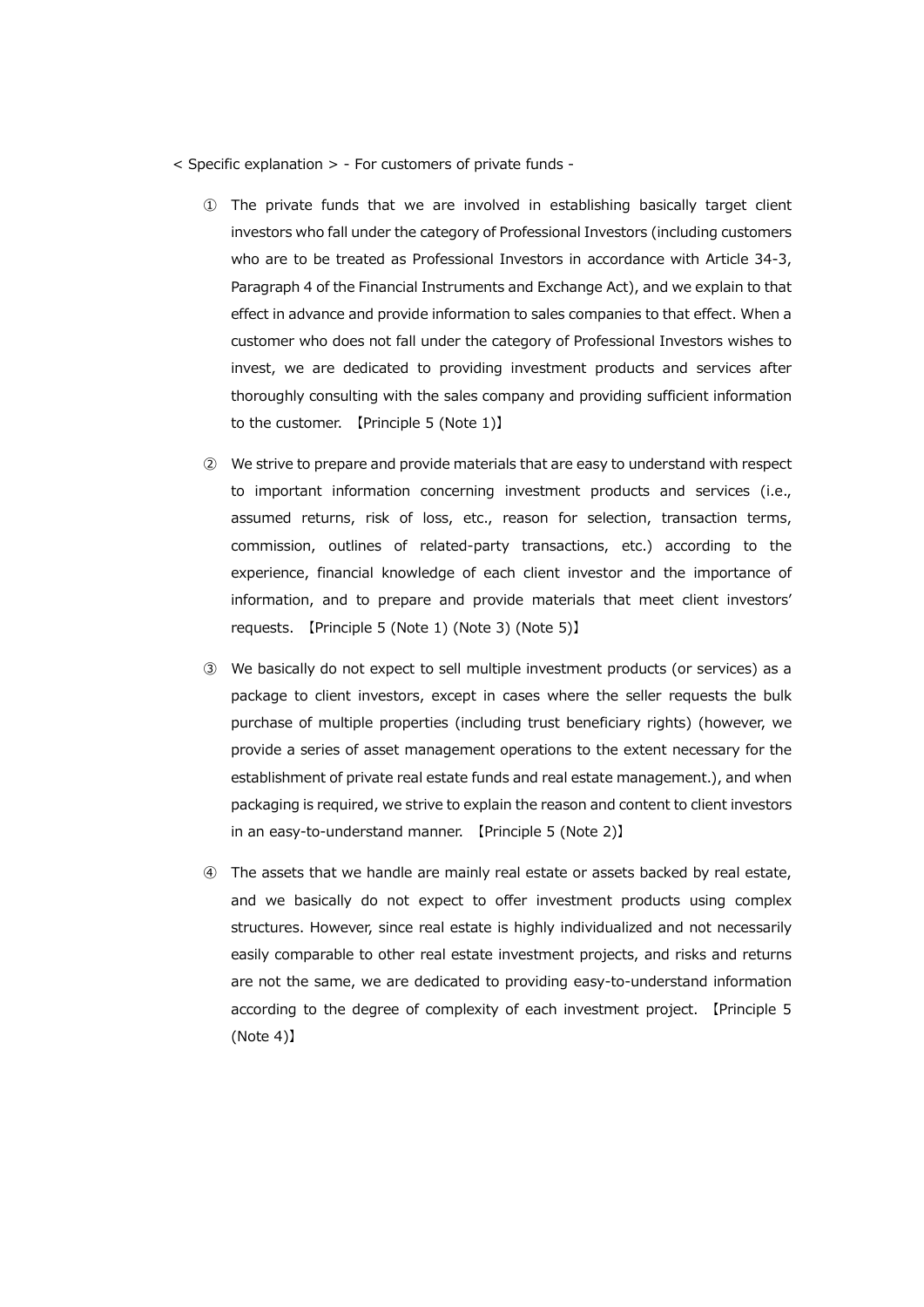- $\leq$  Specific explanation  $>$  For customers of private funds -
	- ① The private funds that we are involved in establishing basically target client investors who fall under the category of Professional Investors (including customers who are to be treated as Professional Investors in accordance with Article 34-3, Paragraph 4 of the Financial Instruments and Exchange Act), and we explain to that effect in advance and provide information to sales companies to that effect. When a customer who does not fall under the category of Professional Investors wishes to invest, we are dedicated to providing investment products and services after thoroughly consulting with the sales company and providing sufficient information to the customer. 【Principle 5 (Note 1)】
	- ② We strive to prepare and provide materials that are easy to understand with respect to important information concerning investment products and services (i.e., assumed returns, risk of loss, etc., reason for selection, transaction terms, commission, outlines of related-party transactions, etc.) according to the experience, financial knowledge of each client investor and the importance of information, and to prepare and provide materials that meet client investors' requests. 【Principle 5 (Note 1) (Note 3) (Note 5)】
	- ③ We basically do not expect to sell multiple investment products (or services) as a package to client investors, except in cases where the seller requests the bulk purchase of multiple properties (including trust beneficiary rights) (however, we provide a series of asset management operations to the extent necessary for the establishment of private real estate funds and real estate management.), and when packaging is required, we strive to explain the reason and content to client investors in an easy-to-understand manner. 【Principle 5 (Note 2)】
	- ④ The assets that we handle are mainly real estate or assets backed by real estate, and we basically do not expect to offer investment products using complex structures. However, since real estate is highly individualized and not necessarily easily comparable to other real estate investment projects, and risks and returns are not the same, we are dedicated to providing easy-to-understand information according to the degree of complexity of each investment project. 【Principle 5 (Note 4)】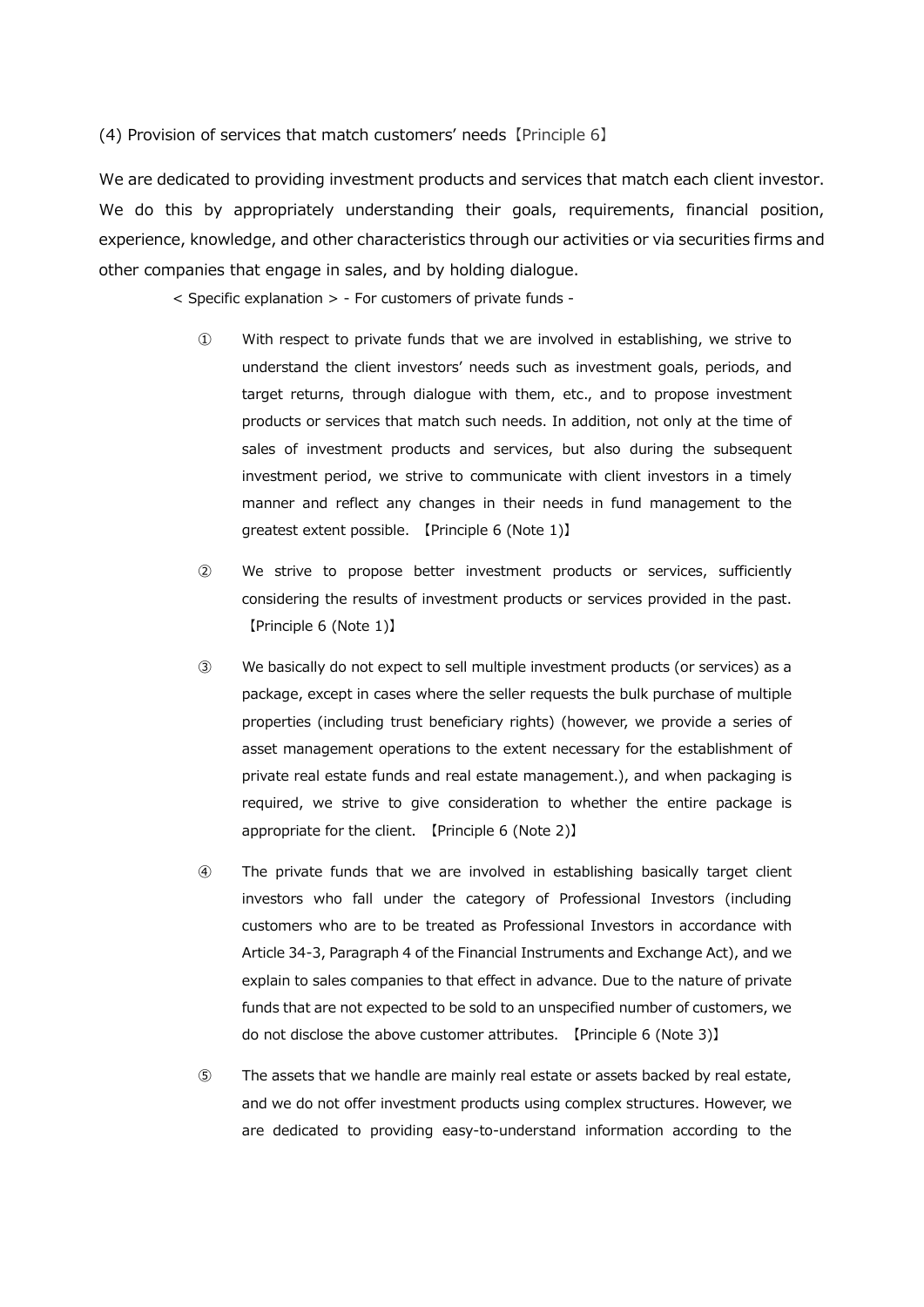(4) Provision of services that match customers' needs【Principle 6】

We are dedicated to providing investment products and services that match each client investor. We do this by appropriately understanding their goals, requirements, financial position, experience, knowledge, and other characteristics through our activities or via securities firms and other companies that engage in sales, and by holding dialogue.

< Specific explanation > - For customers of private funds -

- ① With respect to private funds that we are involved in establishing, we strive to understand the client investors' needs such as investment goals, periods, and target returns, through dialogue with them, etc., and to propose investment products or services that match such needs. In addition, not only at the time of sales of investment products and services, but also during the subsequent investment period, we strive to communicate with client investors in a timely manner and reflect any changes in their needs in fund management to the greatest extent possible. 【Principle 6 (Note 1)】
- ② We strive to propose better investment products or services, sufficiently considering the results of investment products or services provided in the past. 【Principle 6 (Note 1)】
- ③ We basically do not expect to sell multiple investment products (or services) as a package, except in cases where the seller requests the bulk purchase of multiple properties (including trust beneficiary rights) (however, we provide a series of asset management operations to the extent necessary for the establishment of private real estate funds and real estate management.), and when packaging is required, we strive to give consideration to whether the entire package is appropriate for the client. 【Principle 6 (Note 2)】
- ④ The private funds that we are involved in establishing basically target client investors who fall under the category of Professional Investors (including customers who are to be treated as Professional Investors in accordance with Article 34-3, Paragraph 4 of the Financial Instruments and Exchange Act), and we explain to sales companies to that effect in advance. Due to the nature of private funds that are not expected to be sold to an unspecified number of customers, we do not disclose the above customer attributes. 【Principle 6 (Note 3)】
- ⑤ The assets that we handle are mainly real estate or assets backed by real estate, and we do not offer investment products using complex structures. However, we are dedicated to providing easy-to-understand information according to the